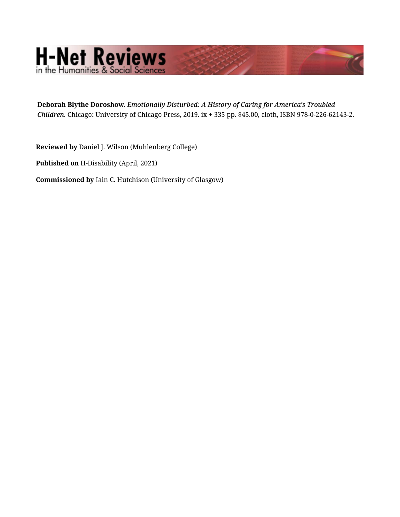## H-Net Reviews

**Deborah Blythe Doroshow.** *Emotionally Disturbed: A History of Caring for America's Troubled Children.* Chicago: University of Chicago Press, 2019. ix + 335 pp. \$45.00, cloth, ISBN 978-0-226-62143-2.

**Reviewed by** Daniel J. Wilson (Muhlenberg College)

**Published on** H-Disability (April, 2021)

**Commissioned by** Iain C. Hutchison (University of Glasgow)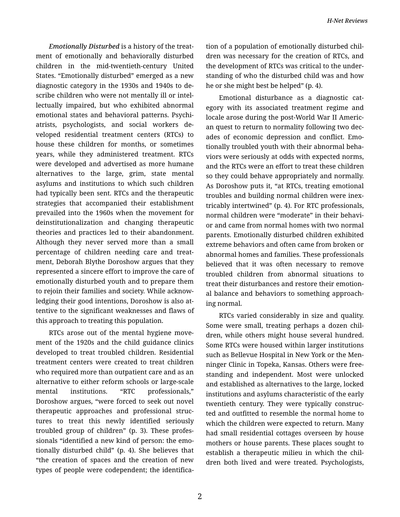*Emotionally Disturbed* is a history of the treat‐ ment of emotionally and behaviorally disturbed children in the mid-twentieth-century United States. "Emotionally disturbed" emerged as a new diagnostic category in the 1930s and 1940s to de‐ scribe children who were not mentally ill or intel‐ lectually impaired, but who exhibited abnormal emotional states and behavioral patterns. Psychi‐ atrists, psychologists, and social workers de‐ veloped residential treatment centers (RTCs) to house these children for months, or sometimes years, while they administered treatment. RTCs were developed and advertised as more humane alternatives to the large, grim, state mental asylums and institutions to which such children had typically been sent. RTCs and the therapeutic strategies that accompanied their establishment prevailed into the 1960s when the movement for deinstitutionalization and changing therapeutic theories and practices led to their abandonment. Although they never served more than a small percentage of children needing care and treat‐ ment, Deborah Blythe Doroshow argues that they represented a sincere effort to improve the care of emotionally disturbed youth and to prepare them to rejoin their families and society. While acknow‐ ledging their good intentions, Doroshow is also at‐ tentive to the significant weaknesses and flaws of this approach to treating this population.

RTCs arose out of the mental hygiene move‐ ment of the 1920s and the child guidance clinics developed to treat troubled children. Residential treatment centers were created to treat children who required more than outpatient care and as an alternative to either reform schools or large-scale mental institutions. "RTC professionals," Doroshow argues, "were forced to seek out novel therapeutic approaches and professional struc‐ tures to treat this newly identified seriously troubled group of children" (p. 3). These profes‐ sionals "identified a new kind of person: the emo‐ tionally disturbed child" (p. 4). She believes that "the creation of spaces and the creation of new types of people were codependent; the identifica‐

tion of a population of emotionally disturbed chil‐ dren was necessary for the creation of RTCs, and the development of RTCs was critical to the under‐ standing of who the disturbed child was and how he or she might best be helped" (p. 4).

Emotional disturbance as a diagnostic cat‐ egory with its associated treatment regime and locale arose during the post-World War II Americ‐ an quest to return to normality following two dec‐ ades of economic depression and conflict. Emo‐ tionally troubled youth with their abnormal beha‐ viors were seriously at odds with expected norms, and the RTCs were an effort to treat these children so they could behave appropriately and normally. As Doroshow puts it, "at RTCs, treating emotional troubles and building normal children were inex‐ tricably intertwined" (p. 4). For RTC professionals, normal children were "moderate" in their behavi‐ or and came from normal homes with two normal parents. Emotionally disturbed children exhibited extreme behaviors and often came from broken or abnormal homes and families. These professionals believed that it was often necessary to remove troubled children from abnormal situations to treat their disturbances and restore their emotion‐ al balance and behaviors to something approach‐ ing normal.

RTCs varied considerably in size and quality. Some were small, treating perhaps a dozen chil‐ dren, while others might house several hundred. Some RTCs were housed within larger institutions such as Bellevue Hospital in New York or the Men‐ ninger Clinic in Topeka, Kansas. Others were freestanding and independent. Most were unlocked and established as alternatives to the large, locked institutions and asylums characteristic of the early twentieth century. They were typically construc‐ ted and outfitted to resemble the normal home to which the children were expected to return. Many had small residential cottages overseen by house mothers or house parents. These places sought to establish a therapeutic milieu in which the chil‐ dren both lived and were treated. Psychologists,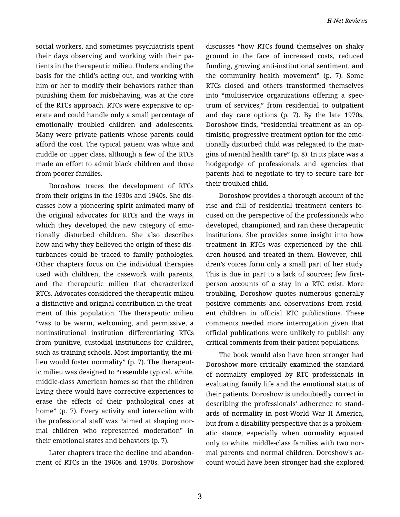social workers, and sometimes psychiatrists spent their days observing and working with their pa‐ tients in the therapeutic milieu. Understanding the basis for the child's acting out, and working with him or her to modify their behaviors rather than punishing them for misbehaving, was at the core of the RTCs approach. RTCs were expensive to op‐ erate and could handle only a small percentage of emotionally troubled children and adolescents. Many were private patients whose parents could afford the cost. The typical patient was white and middle or upper class, although a few of the RTCs made an effort to admit black children and those from poorer families.

Doroshow traces the development of RTCs from their origins in the 1930s and 1940s. She dis‐ cusses how a pioneering spirit animated many of the original advocates for RTCs and the ways in which they developed the new category of emotionally disturbed children. She also describes how and why they believed the origin of these dis‐ turbances could be traced to family pathologies. Other chapters focus on the individual therapies used with children, the casework with parents, and the therapeutic milieu that characterized RTCs. Advocates considered the therapeutic milieu a distinctive and original contribution in the treat‐ ment of this population. The therapeutic milieu "was to be warm, welcoming, and permissive, a noninstitutional institution differentiating RTCs from punitive, custodial institutions for children, such as training schools. Most importantly, the mi‐ lieu would foster normality" (p. 7). The therapeut‐ ic milieu was designed to "resemble typical, white, middle-class American homes so that the children living there would have corrective experiences to erase the effects of their pathological ones at home" (p. 7). Every activity and interaction with the professional staff was "aimed at shaping nor‐ mal children who represented moderation" in their emotional states and behaviors (p. 7).

Later chapters trace the decline and abandon‐ ment of RTCs in the 1960s and 1970s. Doroshow

discusses "how RTCs found themselves on shaky ground in the face of increased costs, reduced funding, growing anti-institutional sentiment, and the community health movement" (p. 7). Some RTCs closed and others transformed themselves into "multiservice organizations offering a spec‐ trum of services," from residential to outpatient and day care options (p. 7). By the late 1970s, Doroshow finds, "residential treatment as an op‐ timistic, progressive treatment option for the emo‐ tionally disturbed child was relegated to the mar‐ gins of mental health care" (p. 8). In its place was a hodgepodge of professionals and agencies that parents had to negotiate to try to secure care for their troubled child.

Doroshow provides a thorough account of the rise and fall of residential treatment centers fo‐ cused on the perspective of the professionals who developed, championed, and ran these therapeutic institutions. She provides some insight into how treatment in RTCs was experienced by the chil‐ dren housed and treated in them. However, children's voices form only a small part of her study. This is due in part to a lack of sources; few firstperson accounts of a stay in a RTC exist. More troubling, Doroshow quotes numerous generally positive comments and observations from resid‐ ent children in official RTC publications. These comments needed more interrogation given that official publications were unlikely to publish any critical comments from their patient populations.

The book would also have been stronger had Doroshow more critically examined the standard of normality employed by RTC professionals in evaluating family life and the emotional status of their patients. Doroshow is undoubtedly correct in describing the professionals' adherence to stand‐ ards of normality in post-World War II America, but from a disability perspective that is a problem‐ atic stance, especially when normality equated only to white, middle-class families with two nor‐ mal parents and normal children. Doroshow's ac‐ count would have been stronger had she explored